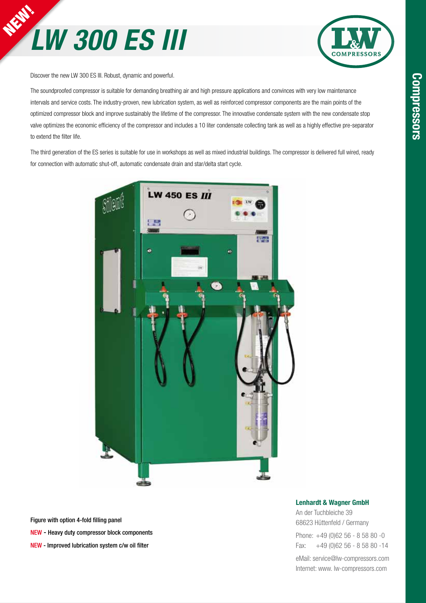



Discover the new LW 300 ES III. Robust, dynamic and powerful.

The soundproofed compressor is suitable for demanding breathing air and high pressure applications and convinces with very low maintenance intervals and service costs. The industry-proven, new lubrication system, as well as reinforced compressor components are the main points of the optimized compressor block and improve sustainably the lifetime of the compressor. The innovative condensate system with the new condensate stop valve optimizes the economic efficiency of the compressor and includes a 10 liter condensate collecting tank as well as a highly effective pre-separator to extend the filter life.

The third generation of the ES series is suitable for use in workshops as well as mixed industrial buildings. The compressor is delivered full wired, ready for connection with automatic shut-off, automatic condensate drain and star/delta start cycle.



Figure with option 4-fold filling panel NEW - Heavy duty compressor block components NEW - Improved lubrication system c/w oil filter

#### Lenhardt & Wagner GmbH

An der Tuchbleiche 39 68623 Hüttenfeld / Germany Phone: +49 (0)62 56 - 8 58 80 -0 Fax: +49 (0)62 56 - 8 58 80 -14

eMail: service@lw-compressors.com Internet: www. lw-compressors.com